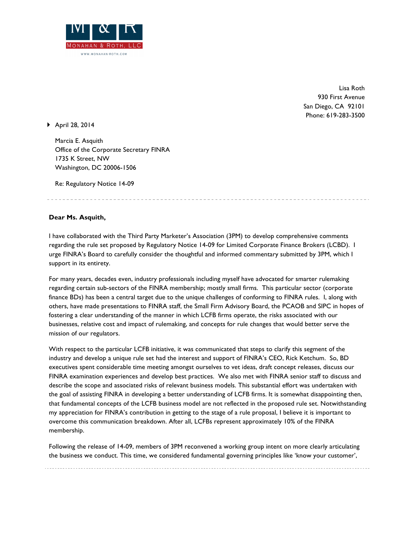

Lisa Roth 930 First Avenue San Diego, CA 92101 Phone: 619-283-3500

} April 28, 2014

Marcia E. Asquith Office of the Corporate Secretary FINRA 1735 K Street, NW Washington, DC 20006-1506

Re: Regulatory Notice 14-09

## **Dear Ms. Asquith,**

I have collaborated with the Third Party Marketer's Association (3PM) to develop comprehensive comments regarding the rule set proposed by Regulatory Notice 14-09 for Limited Corporate Finance Brokers (LCBD). I urge FINRA's Board to carefully consider the thoughtful and informed commentary submitted by 3PM, which I support in its entirety.

For many years, decades even, industry professionals including myself have advocated for smarter rulemaking regarding certain sub-sectors of the FINRA membership; mostly small firms. This particular sector (corporate finance BDs) has been a central target due to the unique challenges of conforming to FINRA rules. I, along with others, have made presentations to FINRA staff, the Small Firm Advisory Board, the PCAOB and SIPC in hopes of fostering a clear understanding of the manner in which LCFB firms operate, the risks associated with our businesses, relative cost and impact of rulemaking, and concepts for rule changes that would better serve the mission of our regulators.

With respect to the particular LCFB initiative, it was communicated that steps to clarify this segment of the industry and develop a unique rule set had the interest and support of FINRA's CEO, Rick Ketchum. So, BD executives spent considerable time meeting amongst ourselves to vet ideas, draft concept releases, discuss our FINRA examination experiences and develop best practices. We also met with FINRA senior staff to discuss and describe the scope and associated risks of relevant business models. This substantial effort was undertaken with the goal of assisting FINRA in developing a better understanding of LCFB firms. It is somewhat disappointing then, that fundamental concepts of the LCFB business model are not reflected in the proposed rule set. Notwithstanding my appreciation for FINRA's contribution in getting to the stage of a rule proposal, I believe it is important to overcome this communication breakdown. After all, LCFBs represent approximately 10% of the FINRA membership.

Following the release of 14-09, members of 3PM reconvened a working group intent on more clearly articulating the business we conduct. This time, we considered fundamental governing principles like 'know your customer',